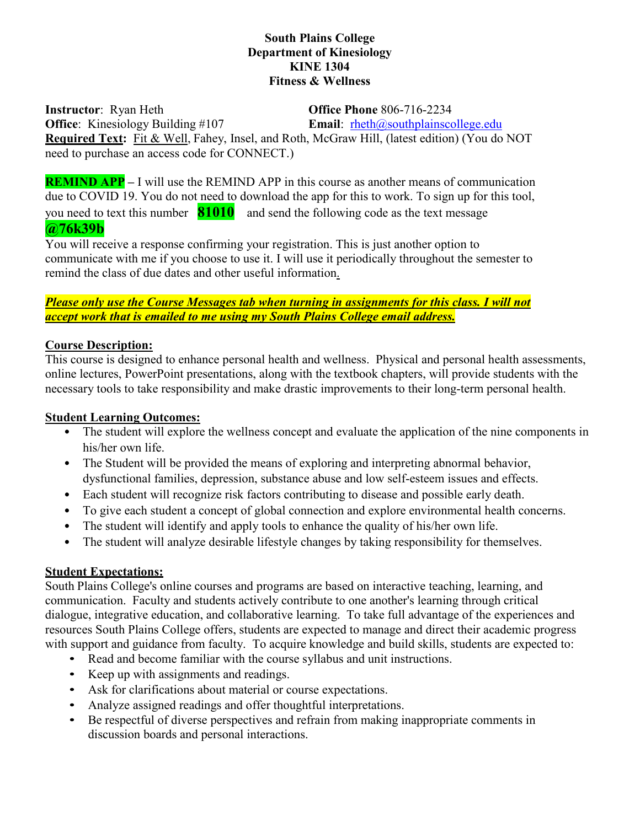### **South Plains College Department of Kinesiology KINE 1304 Fitness & Wellness**

**Instructor**: Ryan Heth **Office Phone** 806-716-2234 **Office**: Kinesiology Building #107 **Email**: rheth@southplainscollege.edu **Required Text:** Fit & Well, Fahey, Insel, and Roth, McGraw Hill, (latest edition) (You do NOT need to purchase an access code for CONNECT.)

**REMIND APP** – I will use the REMIND APP in this course as another means of communication due to COVID 19. You do not need to download the app for this to work. To sign up for this tool, you need to text this number **81010** and send the following code as the text message **@76k39b**

You will receive a response confirming your registration. This is just another option to communicate with me if you choose to use it. I will use it periodically throughout the semester to remind the class of due dates and other useful information.

### *Please only use the Course Messages tab when turning in assignments for this class. I will not accept work that is emailed to me using my South Plains College email address.*

### **Course Description:**

This course is designed to enhance personal health and wellness. Physical and personal health assessments, online lectures, PowerPoint presentations, along with the textbook chapters, will provide students with the necessary tools to take responsibility and make drastic improvements to their long-term personal health.

## **Student Learning Outcomes:**

- The student will explore the wellness concept and evaluate the application of the nine components in his/her own life.
- The Student will be provided the means of exploring and interpreting abnormal behavior, dysfunctional families, depression, substance abuse and low self-esteem issues and effects.
- Each student will recognize risk factors contributing to disease and possible early death.
- To give each student a concept of global connection and explore environmental health concerns.
- The student will identify and apply tools to enhance the quality of his/her own life.
- The student will analyze desirable lifestyle changes by taking responsibility for themselves.

# **Student Expectations:**

South Plains College's online courses and programs are based on interactive teaching, learning, and communication. Faculty and students actively contribute to one another's learning through critical dialogue, integrative education, and collaborative learning. To take full advantage of the experiences and resources South Plains College offers, students are expected to manage and direct their academic progress with support and guidance from faculty. To acquire knowledge and build skills, students are expected to:

- Read and become familiar with the course syllabus and unit instructions.
- Keep up with assignments and readings.
- Ask for clarifications about material or course expectations.
- Analyze assigned readings and offer thoughtful interpretations.
- Be respectful of diverse perspectives and refrain from making inappropriate comments in discussion boards and personal interactions.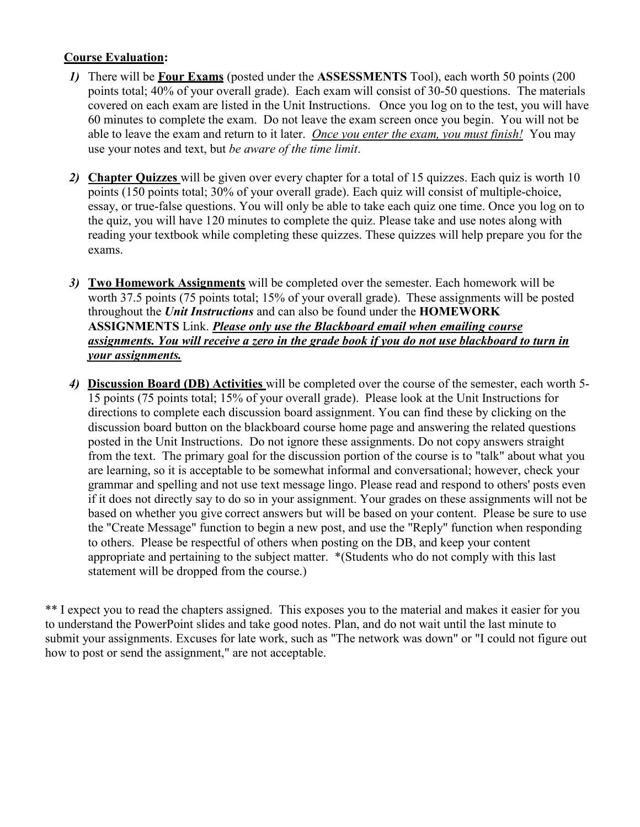# **Course Evaluation:**

- *1)* There will be **Four Exams** (posted under the **ASSESSMENTS** Tool), each worth 50 points (200 points total; 40% of your overall grade). Each exam will consist of 30-50 questions. The materials covered on each exam are listed in the Unit Instructions. Once you log on to the test, you will have 60 minutes to complete the exam. Do not leave the exam screen once you begin. You will not be able to leave the exam and return to it later. *Once you enter the exam, you must finish!* You may use your notes and text, but *be aware of the time limit*.
- *2)* **Chapter Quizzes** will be given over every chapter for a total of 15 quizzes. Each quiz is worth 10 points (150 points total; 30% of your overall grade). Each quiz will consist of multiple-choice, essay, or true-false questions. You will only be able to take each quiz one time. Once you log on to the quiz, you will have 120 minutes to complete the quiz. Please take and use notes along with reading your textbook while completing these quizzes. These quizzes will help prepare you for the exams.
- *3)* **Two Homework Assignments** will be completed over the semester. Each homework will be worth 37.5 points (75 points total; 15% of your overall grade). These assignments will be posted throughout the *Unit Instructions* and can also be found under the **HOMEWORK ASSIGNMENTS** Link. *Please only use the Blackboard email when emailing course assignments. You will receive a zero in the grade book if you do not use blackboard to turn in your assignments.*
- *4)* **Discussion Board (DB) Activities** will be completed over the course of the semester, each worth 5- 15 points (75 points total; 15% of your overall grade). Please look at the Unit Instructions for directions to complete each discussion board assignment. You can find these by clicking on the discussion board button on the blackboard course home page and answering the related questions posted in the Unit Instructions. Do not ignore these assignments. Do not copy answers straight from the text. The primary goal for the discussion portion of the course is to "talk" about what you are learning, so it is acceptable to be somewhat informal and conversational; however, check your grammar and spelling and not use text message lingo. Please read and respond to others' posts even if it does not directly say to do so in your assignment. Your grades on these assignments will not be based on whether you give correct answers but will be based on your content. Please be sure to use the "Create Message" function to begin a new post, and use the "Reply" function when responding to others. Please be respectful of others when posting on the DB, and keep your content appropriate and pertaining to the subject matter. \*(Students who do not comply with this last statement will be dropped from the course.)

\*\* I expect you to read the chapters assigned. This exposes you to the material and makes it easier for you to understand the PowerPoint slides and take good notes. Plan, and do not wait until the last minute to submit your assignments. Excuses for late work, such as "The network was down" or "I could not figure out how to post or send the assignment," are not acceptable.